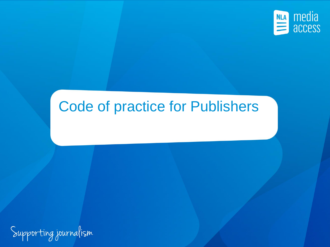

### Code of practice for Publishers

Supporting journalism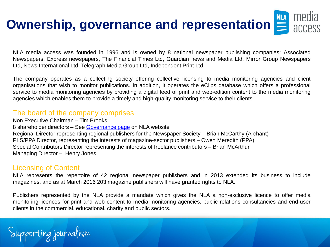# **Ownership, governance and representation**  $\sum_{\text{ACLPSS}}$

NLA media access was founded in 1996 and is owned by 8 national newspaper publishing companies: Associated Newspapers, Express newspapers, The Financial Times Ltd, Guardian news and Media Ltd, Mirror Group Newspapers Ltd, News International Ltd, Telegraph Media Group Ltd, Independent Print Ltd.

The company operates as a collecting society offering collective licensing to media monitoring agencies and client organisations that wish to monitor publications. In addition, it operates the eClips database which offers a professional service to media monitoring agencies by providing a digital feed of print and web-edition content to the media monitoring agencies which enables them to provide a timely and high-quality monitoring service to their clients.

#### The board of the company comprises

Non Executive Chairman – Tim Brooks 8 shareholder directors – See [Governance](http://www.nlamediaaccess.com/default.aspx?tabid=202) [page](http://www.nlamediaaccess.com/default.aspx?tabid=202) on NLA website Regional Director representing regional publishers for the Newspaper Society – Brian McCarthy (Archant) PLS/PPA Director, representing the interests of magazine-sector publishers – Owen Meredith (PPA) Special Contributors Director representing the interests of freelance contributors – Brian McArthur Managing Director – Henry Jones

### Licensing of Content

NLA represents the repertoire of 42 regional newspaper publishers and in 2013 extended its business to include magazines, and as at March 2016 203 magazine publishers will have granted rights to NLA.

Publishers represented by the NLA provide a mandate which gives the NLA a non-exclusive licence to offer media monitoring licences for print and web content to media monitoring agencies, public relations consultancies and end-user clients in the commercial, educational, charity and public sectors.

Supporting journalism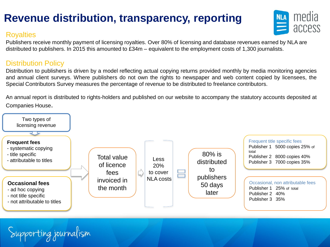### **Revenue distribution, transparency, reporting**

### **Royalties**



Publishers receive monthly payment of licensing royalties. Over 80% of licensing and database revenues earned by NLA are distributed to publishers. In 2015 this amounted to £34m – equivalent to the employment costs of 1,300 journalists.

### Distribution Policy

Distribution to publishers is driven by a model reflecting actual copying returns provided monthly by media monitoring agencies and annual client surveys. Where publishers do not own the rights to newspaper and web content copied by licensees, the Special Contributors Survey measures the percentage of revenue to be distributed to freelance contributors.

An annual report is distributed to rights-holders and published on our website to accompany the statutory accounts deposited at Companies House.

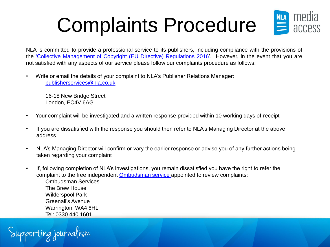## Complaints Procedure



NLA is committed to provide a professional service to its publishers, including compliance with the provisions of the ['Collective](http://www.legislation.gov.uk/uksi/2016/221/contents/made) [Management](http://www.legislation.gov.uk/uksi/2016/221/contents/made) [of](http://www.legislation.gov.uk/uksi/2016/221/contents/made) [Copyright](http://www.legislation.gov.uk/uksi/2016/221/contents/made) [\(EU](http://www.legislation.gov.uk/uksi/2016/221/contents/made) [Directive\)](http://www.legislation.gov.uk/uksi/2016/221/contents/made) [Regulations](http://www.legislation.gov.uk/uksi/2016/221/contents/made) [2016'](http://www.legislation.gov.uk/uksi/2016/221/contents/made). However, in the event that you are not satisfied with any aspects of our service please follow our complaints procedure as follows:

• Write or email the details of your complaint to NLA's Publisher Relations Manager: [publisherservices@nla.co.uk](mailto:publisherservices@nla.co.uk)

16-18 New Bridge Street London, EC4V 6AG

- Your complaint will be investigated and a written response provided within 10 working days of receipt
- If you are dissatisfied with the response you should then refer to NLA's Managing Director at the above address
- NLA's Managing Director will confirm or vary the earlier response or advise you of any further actions being taken regarding your complaint
- If, following completion of NLA's investigations, you remain dissatisfied you have the right to refer the complaint to the free independent [Ombudsman service](https://www.ombudsman-services.org/) appointed to review complaints:

Ombudsman Services The Brew House Wilderspool Park Greenall's Avenue Warrington, WA4 6HL Tel: 0330 440 1601

Supporting journalism